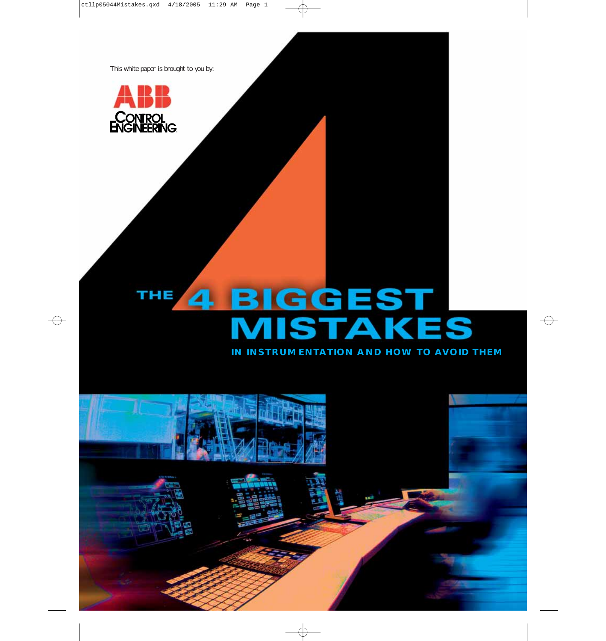This white paper is brought to you by:



# **BIGGEST THE**  $\blacktriangleleft$ **STA IN INSTRUMENTATION AND HOW TO AVOID THEM**

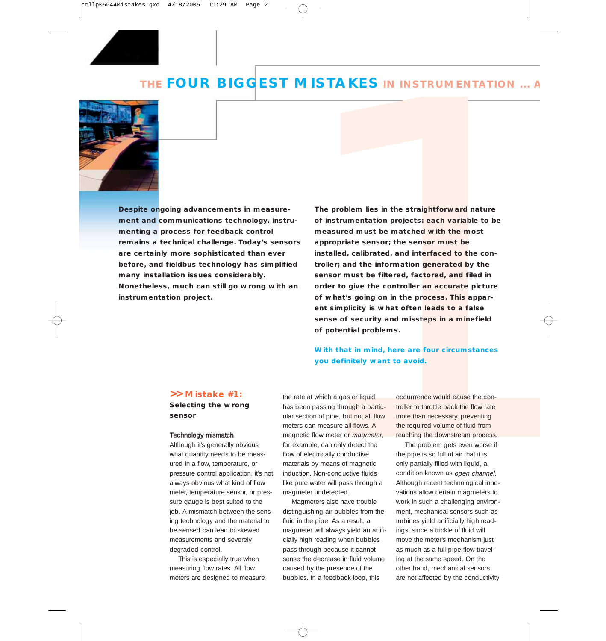# **THE FOUR BIGGEST MISTAKES IN INSTRUMENTATION ... A**



**Despite ongoing advancements in measurement and communications technology, instrumenting a process for feedback control remains a technical challenge. Today's sensors are certainly more sophisticated than ever before, and fieldbus technology has simplified many installation issues considerably. Nonetheless, much can still go wrong with an instrumentation project.**

**MISTAKES** IN INSTRUMENTATION ...<br>
The problem lies in the straightforward nature<br>
of instrumentation projects: each variable to be<br>
measured must be matched with the most<br>
appropriate sensor, the sensor must be<br>
installe **The problem lies in the straightforward nature of instrumentation projects: each variable to be measured must be matched with the most appropriate sensor; the sensor must be installed, calibrated, and interfaced to the controller; and the information generated by the sensor must be filtered, factored, and filed in order to give the controller an accurate picture of what's going on in the process. This apparent simplicity is what often leads to a false sense of security and missteps in a minefield of potential problems.**

**With that in mind, here are four circumstances you definitely want to avoid.**

#### **>> Mistake #1:**

**Selecting the wrong sensor**

#### Technology mismatch

Although it's generally obvious what quantity needs to be measured in a flow, temperature, or pressure control application, it's not always obvious what kind of flow meter, temperature sensor, or pressure gauge is best suited to the job. A mismatch between the sensing technology and the material to be sensed can lead to skewed measurements and severely degraded control.

This is especially true when measuring flow rates. All flow meters are designed to measure

the rate at which a gas or liquid has been passing through a particular section of pipe, but not all flow meters can measure all flows. A magnetic flow meter or *magmeter*, for example, can only detect the flow of electrically conductive materials by means of magnetic induction. Non-conductive fluids like pure water will pass through a magmeter undetected.

Magmeters also have trouble distinguishing air bubbles from the fluid in the pipe. As a result, a magmeter will always yield an artificially high reading when bubbles pass through because it cannot sense the decrease in fluid volume caused by the presence of the bubbles. In a feedback loop, this

occurrrence would cause the controller to throttle back the flow rate more than necessary, preventing the required volume of fluid from reaching the downstream process.

The problem gets even worse if the pipe is so full of air that it is only partially filled with liquid, a condition known as open channel. Although recent technological innovations allow certain magmeters to work in such a challenging environment, mechanical sensors such as turbines yield artificially high readings, since a trickle of fluid will move the meter's mechanism just as much as a full-pipe flow traveling at the same speed. On the other hand, mechanical sensors are not affected by the conductivity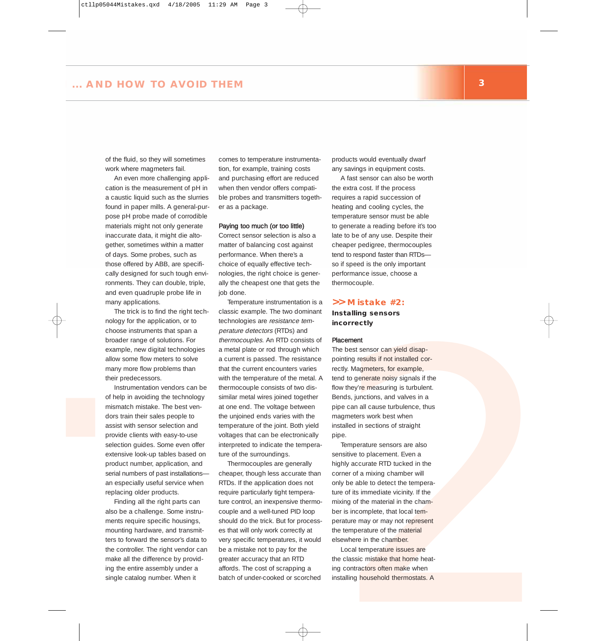of the fluid, so they will sometimes work where magmeters fail.

An even more challenging application is the measurement of pH in a caustic liquid such as the slurries found in paper mills. A general-purpose pH probe made of corrodible materials might not only generate inaccurate data, it might die altogether, sometimes within a matter of days. Some probes, such as those offered by ABB, are specifically designed for such tough environments. They can double, triple, and even quadruple probe life in many applications.

The trick is to find the right technology for the application, or to choose instruments that span a broader range of solutions. For example, new digital technologies allow some flow meters to solve many more flow problems than their predecessors.

Instrumentation vendors can be of help in avoiding the technology mismatch mistake. The best vendors train their sales people to assist with sensor selection and provide clients with easy-to-use selection guides. Some even offer extensive look-up tables based on product number, application, and serial numbers of past installations an especially useful service when replacing older products.

Finding all the right parts can also be a challenge. Some instruments require specific housings, mounting hardware, and transmitters to forward the sensor's data to the controller. The right vendor can make all the difference by providing the entire assembly under a single catalog number. When it

comes to temperature instrumentation, for example, training costs and purchasing effort are reduced when then vendor offers compatible probes and transmitters together as a package.

#### Paying too much (or too little)

Correct sensor selection is also a matter of balancing cost against performance. When there's a choice of equally effective technologies, the right choice is generally the cheapest one that gets the job done.

AND HOW TO AVOID THEM  $\frac{3}{2}$ <br>  $\frac{3}{2}$  is equivalent to the summation of the summation of the summation of the summation of the summation of the summation of the summation of the summation of the summation of the summ Temperature instrumentation is a classic example. The two dominant technologies are resistance temperature detectors (RTDs) and thermocouples. An RTD consists of a metal plate or rod through which a current is passed. The resistance that the current encounters varies with the temperature of the metal. A thermocouple consists of two dissimilar metal wires joined together at one end. The voltage between the unjoined ends varies with the temperature of the joint. Both yield voltages that can be electronically interpreted to indicate the temperature of the surroundings.

Thermocouples are generally cheaper, though less accurate than RTDs. If the application does not require particularly tight temperature control, an inexpensive thermocouple and a well-tuned PID loop should do the trick. But for processes that will only work correctly at very specific temperatures, it would be a mistake not to pay for the greater accuracy that an RTD affords. The cost of scrapping a batch of under-cooked or scorched

products would eventually dwarf any savings in equipment costs.

A fast sensor can also be worth the extra cost. If the process requires a rapid succession of heating and cooling cycles, the temperature sensor must be able to generate a reading before it's too late to be of any use. Despite their cheaper pedigree, thermocouples tend to respond faster than RTDs so if speed is the only important performance issue, choose a thermocouple.

### **>> Mistake #2: Installing sensors incorrectly**

#### Placement

The best sensor can yield disappointing results if not installed correctly. Magmeters, for example, tend to generate noisy signals if the flow they're measuring is turbulent. Bends, junctions, and valves in a pipe can all cause turbulence, thus magmeters work best when installed in sections of straight pipe.

Temperature sensors are also sensitive to placement. Even a highly accurate RTD tucked in the corner of a mixing chamber will only be able to detect the temperature of its immediate vicinity. If the mixing of the material in the chamber is incomplete, that local temperature may or may not represent the temperature of the material elsewhere in the chamber.

Local temperature issues are the classic mistake that home heating contractors often make when installing household thermostats. A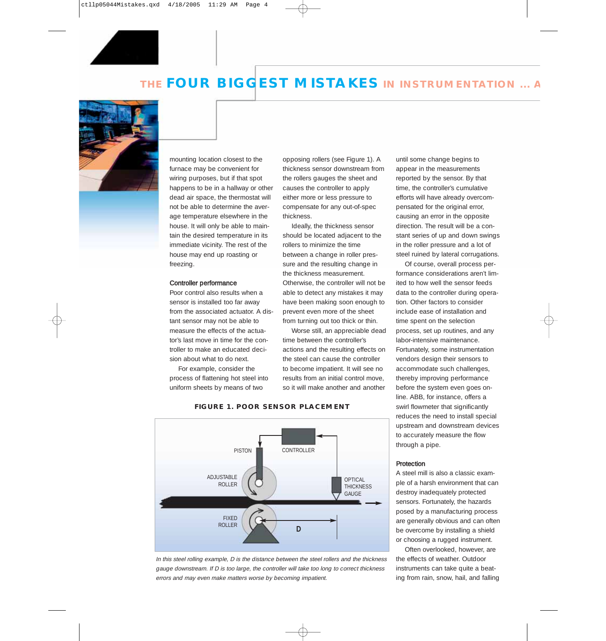# **THE FOUR BIGGEST MISTAKES IN INSTRUMENTATION ... A**



mounting location closest to the furnace may be convenient for wiring purposes, but if that spot happens to be in a hallway or other dead air space, the thermostat will not be able to determine the average temperature elsewhere in the house. It will only be able to maintain the desired temperature in its immediate vicinity. The rest of the house may end up roasting or freezing.

#### Controller performance

Poor control also results when a sensor is installed too far away from the associated actuator. A distant sensor may not be able to measure the effects of the actuator's last move in time for the controller to make an educated decision about what to do next.

For example, consider the process of flattening hot steel into uniform sheets by means of two

opposing rollers (see Figure 1). A thickness sensor downstream from the rollers gauges the sheet and causes the controller to apply either more or less pressure to compensate for any out-of-spec thickness.

Ideally, the thickness sensor should be located adjacent to the rollers to minimize the time between a change in roller pressure and the resulting change in the thickness measurement. Otherwise, the controller will not be able to detect any mistakes it may have been making soon enough to prevent even more of the sheet from turning out too thick or thin.

Worse still, an appreciable dead time between the controller's actions and the resulting effects on the steel can cause the controller to become impatient. It will see no results from an initial control move, so it will make another and another



**FIGURE 1. POOR SENSOR PLACEMENT**

In this steel rolling example, D is the distance between the steel rollers and the thickness gauge downstream. If D is too large, the controller will take too long to correct thickness errors and may even make matters worse by becoming impatient.

until some change begins to appear in the measurements reported by the sensor. By that time, the controller's cumulative efforts will have already overcompensated for the original error, causing an error in the opposite direction. The result will be a constant series of up and down swings in the roller pressure and a lot of steel ruined by lateral corrugations.

Of course, overall process performance considerations aren't limited to how well the sensor feeds data to the controller during operation. Other factors to consider include ease of installation and time spent on the selection process, set up routines, and any labor-intensive maintenance. Fortunately, some instrumentation vendors design their sensors to accommodate such challenges, thereby improving performance before the system even goes online. ABB, for instance, offers a swirl flowmeter that significantly reduces the need to install special upstream and downstream devices to accurately measure the flow through a pipe.

#### **Protection**

A steel mill is also a classic example of a harsh environment that can destroy inadequately protected sensors. Fortunately, the hazards posed by a manufacturing process are generally obvious and can often be overcome by installing a shield or choosing a rugged instrument.

Often overlooked, however, are the effects of weather. Outdoor instruments can take quite a beating from rain, snow, hail, and falling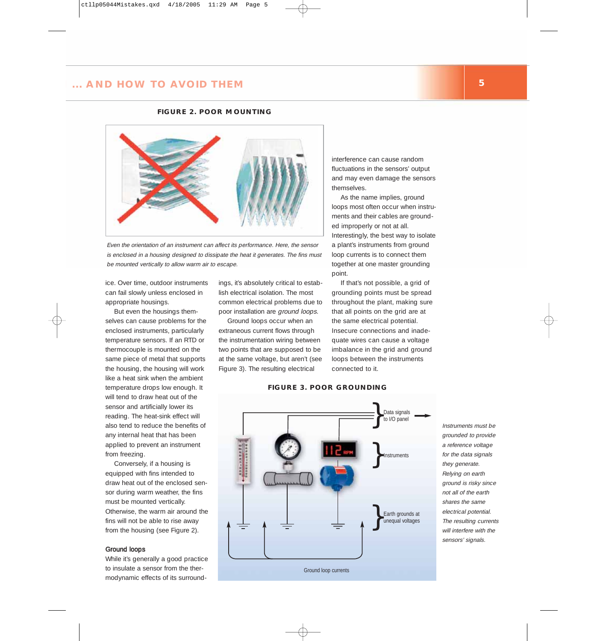## **N . AND HOW TO AVOID THEM 5**

#### **FIGURE 2. POOR MOUNTING**



Even the orientation of an instrument can affect its performance. Here, the sensor is enclosed in a housing designed to dissipate the heat it generates. The fins must be mounted vertically to allow warm air to escape.

ice. Over time, outdoor instruments can fail slowly unless enclosed in appropriate housings.

But even the housings themselves can cause problems for the enclosed instruments, particularly temperature sensors. If an RTD or thermocouple is mounted on the same piece of metal that supports the housing, the housing will work like a heat sink when the ambient temperature drops low enough. It will tend to draw heat out of the sensor and artificially lower its reading. The heat-sink effect will also tend to reduce the benefits of any internal heat that has been applied to prevent an instrument from freezing.

Conversely, if a housing is equipped with fins intended to draw heat out of the enclosed sensor during warm weather, the fins must be mounted vertically. Otherwise, the warm air around the fins will not be able to rise away from the housing (see Figure 2).

#### Ground loops

While it's generally a good practice to insulate a sensor from the thermodynamic effects of its surroundings, it's absolutely critical to establish electrical isolation. The most common electrical problems due to poor installation are ground loops.

Ground loops occur when an extraneous current flows through the instrumentation wiring between two points that are supposed to be at the same voltage, but aren't (see Figure 3). The resulting electrical

interference can cause random fluctuations in the sensors' output and may even damage the sensors themselves.

As the name implies, ground loops most often occur when instruments and their cables are grounded improperly or not at all. Interestingly, the best way to isolate a plant's instruments from ground loop currents is to connect them together at one master grounding point.

If that's not possible, a grid of grounding points must be spread throughout the plant, making sure that all points on the grid are at the same electrical potential. Insecure connections and inadequate wires can cause a voltage imbalance in the grid and ground loops between the instruments connected to it.



#### **FIGURE 3. POOR GROUNDING**

Instruments must be grounded to provide a reference voltage for the data signals they generate. Relying on earth ground is risky since not all of the earth shares the same electrical potential. The resulting currents will interfere with the sensors' signals.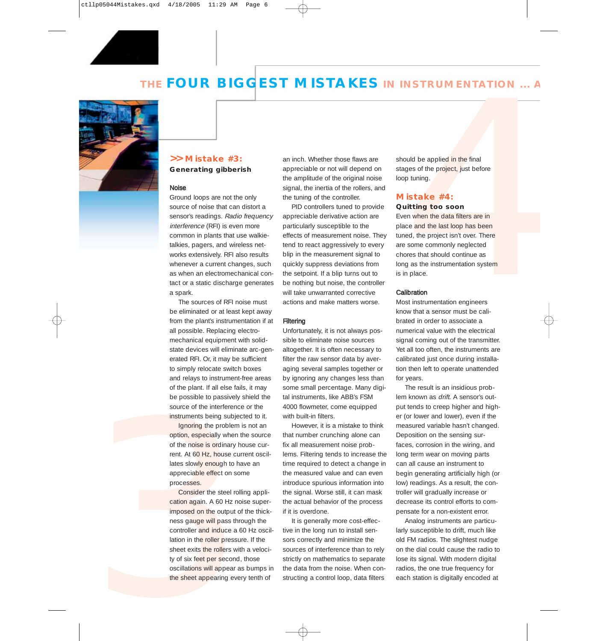



# **Generating gibberish**

#### **Noise**

THE FOUR BIGGEST MISTAKES IN INSTRUMENTATION ...<br>
Sometrating gibberish<br>
Senerating gibberish approach the original cheme of show are<br>
the amplitude of the original control of the original control of the project, just befo Ground loops are not the only source of noise that can distort a sensor's readings. Radio frequency interference (RFI) is even more common in plants that use walkietalkies, pagers, and wireless networks extensively. RFI also results whenever a current changes, such as when an electromechanical contact or a static discharge generates a spark.

The sources of RFI noise must be eliminated or at least kept away from the plant's instrumentation if at all possible. Replacing electromechanical equipment with solidstate devices will eliminate arc-generated RFI. Or, it may be sufficient to simply relocate switch boxes and relays to instrument-free areas of the plant. If all else fails, it may be possible to passively shield the source of the interference or the instruments being subjected to it.

Ignoring the problem is not an option, especially when the source of the noise is ordinary house current. At 60 Hz, house current oscillates slowly enough to have an appreciable effect on some processes.

source of the interf<br>instruments being :<br>Ignoring the pro-<br>option, especially v<br>of the noise is ordir<br>rent. At 60 Hz, hou<br>lates slowly enough<br>appreciable effect<br>processes.<br>Consider the steel<br>cation again. A 60<br>imposed on t Consider the steel rolling application again. A 60 Hz noise superimposed on the output of the thickness gauge will pass through the controller and induce a 60 Hz oscillation in the roller pressure. If the sheet exits the rollers with a velocity of six feet per second, those oscillations will appear as bumps in the sheet appearing every tenth of

an inch. Whether those flaws are appreciable or not will depend on the amplitude of the original noise signal, the inertia of the rollers, and the tuning of the controller.

PID controllers tuned to provide appreciable derivative action are particularly susceptible to the effects of measurement noise. They tend to react aggressively to every blip in the measurement signal to quickly suppress deviations from the setpoint. If a blip turns out to be nothing but noise, the controller will take unwarranted corrective actions and make matters worse.

#### **Filtering**

Unfortunately, it is not always possible to eliminate noise sources altogether. It is often necessary to filter the raw sensor data by averaging several samples together or by ignoring any changes less than some small percentage. Many digital instruments, like ABB's FSM 4000 flowmeter, come equipped with built-in filters.

However, it is a mistake to think that number crunching alone can fix all measurement noise problems. Filtering tends to increase the time required to detect a change in the measured value and can even introduce spurious information into the signal. Worse still, it can mask the actual behavior of the process if it is overdone.

It is generally more cost-effective in the long run to install sensors correctly and minimize the sources of interference than to rely strictly on mathematics to separate the data from the noise. When constructing a control loop, data filters

should be applied in the final stages of the project, just before loop tuning.

#### **Mistake #4: Quitting too soon**

Even when the data filters are in place and the last loop has been tuned, the project isn't over. There are some commonly neglected chores that should continue as long as the instrumentation system is in place.

#### **Calibration**

Most instrumentation engineers know that a sensor must be calibrated in order to associate a numerical value with the electrical signal coming out of the transmitter. Yet all too often, the instruments are calibrated just once during installation then left to operate unattended for years.

The result is an insidious problem known as drift. A sensor's output tends to creep higher and higher (or lower and lower), even if the measured variable hasn't changed. Deposition on the sensing surfaces, corrosion in the wiring, and long term wear on moving parts can all cause an instrument to begin generating artificially high (or low) readings. As a result, the controller will gradually increase or decrease its control efforts to compensate for a non-existent error.

Analog instruments are particularly susceptible to drift, much like old FM radios. The slightest nudge on the dial could cause the radio to lose its signal. With modern digital radios, the one true frequency for each station is digitally encoded at